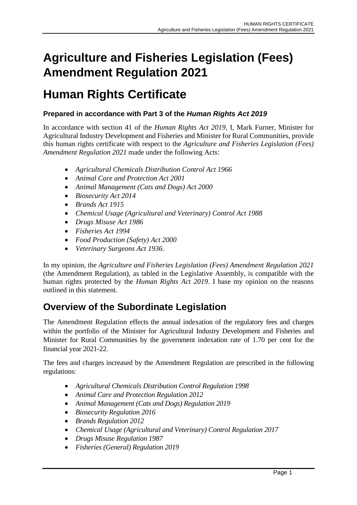# **Agriculture and Fisheries Legislation (Fees) Amendment Regulation 2021**

# **Human Rights Certificate**

#### **Prepared in accordance with Part 3 of the** *Human Rights Act 2019*

In accordance with section 41 of the *Human Rights Act 2019*, I, Mark Furner, Minister for Agricultural Industry Development and Fisheries and Minister for Rural Communities, provide this human rights certificate with respect to the *Agriculture and Fisheries Legislation (Fees) Amendment Regulation 2021* made under the following Acts:

- *Agricultural Chemicals Distribution Control Act 1966*
- *Animal Care and Protection Act 2001*
- *Animal Management (Cats and Dogs) Act 2000*
- *Biosecurity Act 2014*
- *Brands Act 1915*
- *Chemical Usage (Agricultural and Veterinary) Control Act 1988*
- *Drugs Misuse Act 1986*
- *Fisheries Act 1994*
- *Food Production (Safety) Act 2000*
- *Veterinary Surgeons Act 1936.*

In my opinion, the *Agriculture and Fisheries Legislation (Fees) Amendment Regulation 2021* (the Amendment Regulation), as tabled in the Legislative Assembly, is compatible with the human rights protected by the *Human Rights Act 2019*. I base my opinion on the reasons outlined in this statement.

### **Overview of the Subordinate Legislation**

The Amendment Regulation effects the annual indexation of the regulatory fees and charges within the portfolio of the Minister for Agricultural Industry Development and Fisheries and Minister for Rural Communities by the government indexation rate of 1.70 per cent for the financial year 2021-22.

The fees and charges increased by the Amendment Regulation are prescribed in the following regulations:

- *Agricultural Chemicals Distribution Control Regulation 1998*
- *Animal Care and Protection Regulation 2012*
- *Animal Management (Cats and Dogs) Regulation 2019*
- *Biosecurity Regulation 2016*
- *Brands Regulation 2012*
- *Chemical Usage (Agricultural and Veterinary) Control Regulation 2017*
- *Drugs Misuse Regulation 1987*
- *Fisheries (General) Regulation 2019*